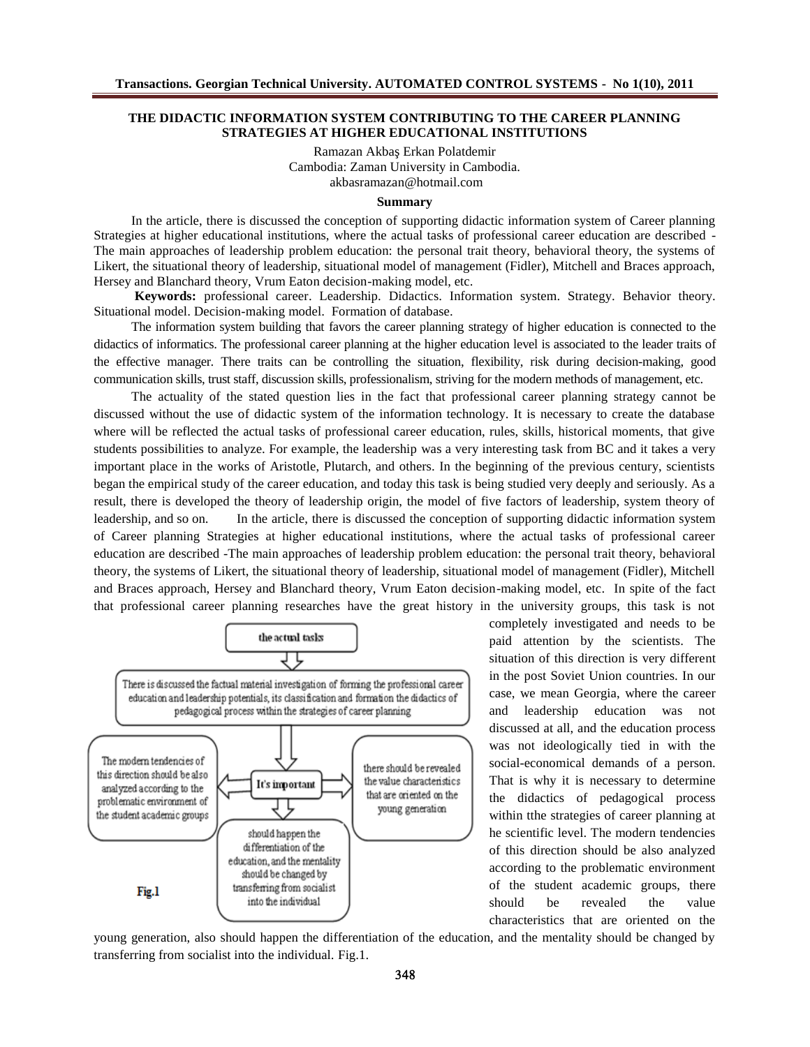# THE DIDACTIC INFORMATION SYSTEM CONTRIBUTING TO THE CAREER PLANNING STRATEGIES AT HIGHER EDUCATIONAL INSTITUTIONS

Ramazan Akba€Erkan Polatdemir Cambodia: Zaman University in Cambodia. [akbasramazan@hotmail.co](mailto:akbasramazan@hotmail.com)m

## **Summary**

In the article, there is discussed the conceptiosup forting didactic information system of Career planning Strategies at higher educational institutions, where the actual tasks of professional career education are described - The main approaches of lead hip problem education: the personal trait theory, behavioral theory, the systems of Likert, the situational theory of leadership, situational model of management (Fidler), Mitchell and Braces approach, Hersey and Blanchard theory, Vrum Eaton decision ing model, etc.

Keywords: professional careerLeadership. Didactics Information system. Strategy Behavior theory Situational model Decision-making model Formation of database.

The information system building that favors the career plarsting tegy of higher education is connected to the didactics of informatics. The professional career planning at the higher education level is associated to the leader traits o the effective manager. There traits can be controlling the situation, flexibility during decisionmaking, good communication skills, trust staff, discussion skills, professionalism, striving for the modern methods of management, etc.

The actuality of the stated question lies in the fact that professional calcer ing strateg cannot be discussed without the use of didactic system of the information technology. It is necessary to create the database where will be reflected the actual tasks of professional career education, rules, skills, historical moments, that give student possibilities to analyze. For example, the leader was a very interesting task from BC and it takes a very important place in the works of Aristotle, Plutarch, and others. In the beginning of the previous century, scientists began the empirical study tife career education, and today this task is being studied very deeply and seriously. As a result, there is developed the theory of leadership origin, the model of five factors of leadership, system theory of leadership, and so on. In the article, there is discussed the conception supporting didactic information system of Career planning Strategies at higher educational institutions, where the actual tasks of professional career education are described he main approaches of leadership problemation: the personal trait theory, behavioral theory, the systems of Likert, the situational theory of leadership, situational model of management (Fidler), Mitchell and Braces approach, Hersey and Blanchard theory, Vrum Eaton decition model, etc In spite of the fact that professional career planning researches have the great history in the university groups, this task is not

> completely investigated and needs to be paid attention by the scientists. The situation of this direction is very different in the post Soviet Union countries. In our case, we mean Georgia, where the career and leadership education was not discussed at all, and the education process was not ideologically tied in with the social-economical demands of a person. That is why it is necessary to determine the didactics of pedagogical process within tthe strategies of career planning at he scientific level. The modern tendencies of this direction should be also analyzed according to the problematic environment of the student academ groups, there should be revealed the value characteristics that are oriented on the

young generation, also should happen the differentiation of the education, and the mentality should be changed by transferring from socialist into the individualig.1.